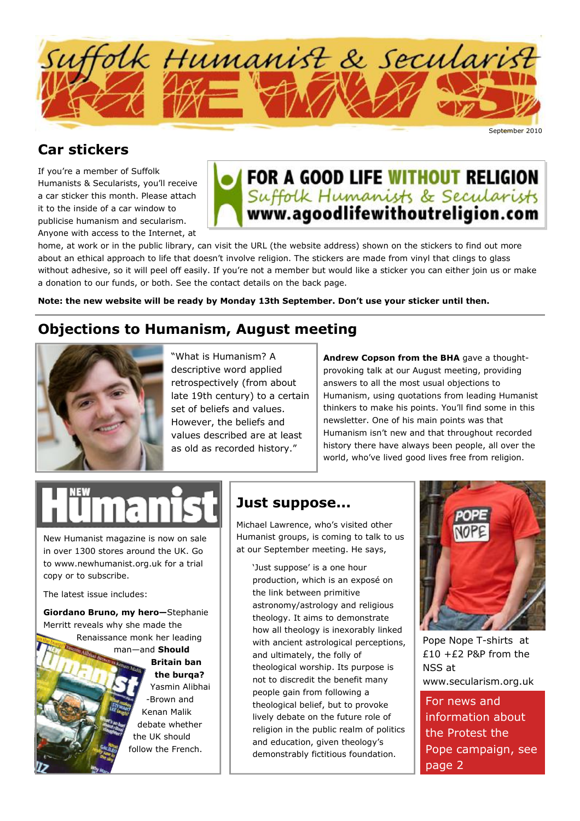

## **Car stickers**

If you're a member of Suffolk Humanists & Secularists, you'll receive a car sticker this month. Please attach it to the inside of a car window to publicise humanism and secularism. Anyone with access to the Internet, at



home, at work or in the public library, can visit the URL (the website address) shown on the stickers to find out more about an ethical approach to life that doesn't involve religion. The stickers are made from vinyl that clings to glass without adhesive, so it will peel off easily. If you're not a member but would like a sticker you can either join us or make a donation to our funds, or both. See the contact details on the back page.

**Note: the new website will be ready by Monday 13th September. Don't use your sticker until then.** 

## **Objections to Humanism, August meeting**



"What is Humanism? A descriptive word applied retrospectively (from about late 19th century) to a certain set of beliefs and values. However, the beliefs and values described are at least as old as recorded history."

**Andrew Copson from the BHA** gave a thoughtprovoking talk at our August meeting, providing answers to all the most usual objections to Humanism, using quotations from leading Humanist thinkers to make his points. You'll find some in this newsletter. One of his main points was that Humanism isn't new and that throughout recorded history there have always been people, all over the world, who've lived good lives free from religion.

New Humanist magazine is now on sale in over 1300 stores around the UK. Go to www.newhumanist.org.uk for a trial copy or to subscribe.

The latest issue includes:

**Giordano Bruno, my hero—**Stephanie Merritt reveals why she made the

Renaissance monk her leading man—and **Should** 

#### **Britain ban the burqa?**  Yasmin Alibhai -Brown and Kenan Malik

debate whether the UK should follow the French.

## **Just suppose...**

Michael Lawrence, who's visited other Humanist groups, is coming to talk to us at our September meeting. He says,

'Just suppose' is a one hour production, which is an exposé on the link between primitive astronomy/astrology and religious theology. It aims to demonstrate how all theology is inexorably linked with ancient astrological perceptions, and ultimately, the folly of theological worship. Its purpose is not to discredit the benefit many people gain from following a theological belief, but to provoke lively debate on the future role of religion in the public realm of politics and education, given theology's demonstrably fictitious foundation.



Pope Nope T-shirts at  $£10 + £2$  P&P from the NSS at www.secularism.org.uk

For news and information about the Protest the Pope campaign, see page 2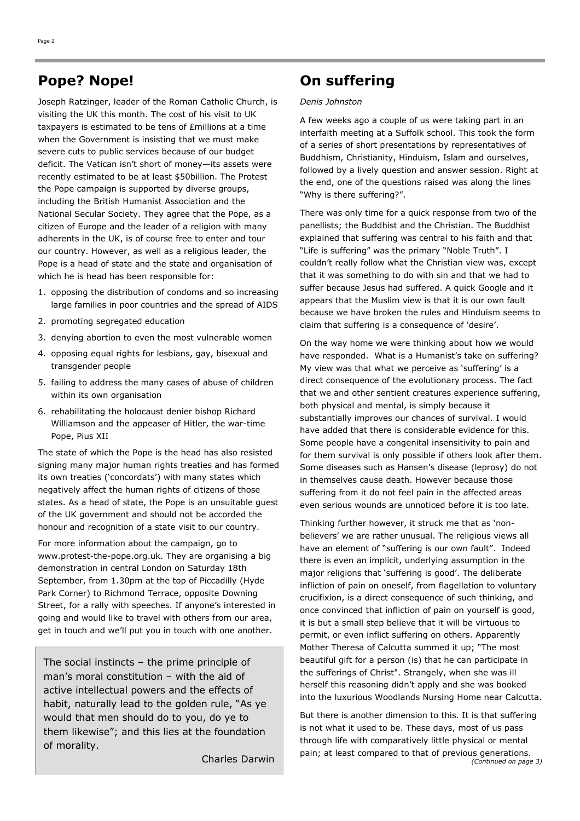## **Pope? Nope!**

Joseph Ratzinger, leader of the Roman Catholic Church, is visiting the UK this month. The cost of his visit to UK taxpayers is estimated to be tens of £millions at a time when the Government is insisting that we must make severe cuts to public services because of our budget deficit. The Vatican isn't short of money—its assets were recently estimated to be at least \$50billion. The Protest the Pope campaign is supported by diverse groups, including the British Humanist Association and the National Secular Society. They agree that the Pope, as a citizen of Europe and the leader of a religion with many adherents in the UK, is of course free to enter and tour our country. However, as well as a religious leader, the Pope is a head of state and the state and organisation of which he is head has been responsible for:

- 1. opposing the distribution of condoms and so increasing large families in poor countries and the spread of AIDS
- 2. promoting segregated education
- 3. denying abortion to even the most vulnerable women
- 4. opposing equal rights for lesbians, gay, bisexual and transgender people
- 5. failing to address the many cases of abuse of children within its own organisation
- 6. rehabilitating the holocaust denier bishop Richard Williamson and the appeaser of Hitler, the war-time Pope, Pius XII

The state of which the Pope is the head has also resisted signing many major human rights treaties and has formed its own treaties ('concordats') with many states which negatively affect the human rights of citizens of those states. As a head of state, the Pope is an unsuitable guest of the UK government and should not be accorded the honour and recognition of a state visit to our country.

For more information about the campaign, go to www.protest-the-pope.org.uk. They are organising a big demonstration in central London on Saturday 18th September, from 1.30pm at the top of Piccadilly (Hyde Park Corner) to Richmond Terrace, opposite Downing Street, for a rally with speeches. If anyone's interested in going and would like to travel with others from our area, get in touch and we'll put you in touch with one another.

The social instincts – the prime principle of man's moral constitution – with the aid of active intellectual powers and the effects of habit, naturally lead to the golden rule, "As ye would that men should do to you, do ye to them likewise"; and this lies at the foundation of morality.

Charles Darwin

## **On suffering**

#### *Denis Johnston*

A few weeks ago a couple of us were taking part in an interfaith meeting at a Suffolk school. This took the form of a series of short presentations by representatives of Buddhism, Christianity, Hinduism, Islam and ourselves, followed by a lively question and answer session. Right at the end, one of the questions raised was along the lines "Why is there suffering?".

There was only time for a quick response from two of the panellists; the Buddhist and the Christian. The Buddhist explained that suffering was central to his faith and that "Life is suffering" was the primary "Noble Truth". I couldn't really follow what the Christian view was, except that it was something to do with sin and that we had to suffer because Jesus had suffered. A quick Google and it appears that the Muslim view is that it is our own fault because we have broken the rules and Hinduism seems to claim that suffering is a consequence of 'desire'.

On the way home we were thinking about how we would have responded. What is a Humanist's take on suffering? My view was that what we perceive as 'suffering' is a direct consequence of the evolutionary process. The fact that we and other sentient creatures experience suffering, both physical and mental, is simply because it substantially improves our chances of survival. I would have added that there is considerable evidence for this. Some people have a congenital insensitivity to pain and for them survival is only possible if others look after them. Some diseases such as Hansen's disease (leprosy) do not in themselves cause death. However because those suffering from it do not feel pain in the affected areas even serious wounds are unnoticed before it is too late.

Thinking further however, it struck me that as 'nonbelievers' we are rather unusual. The religious views all have an element of "suffering is our own fault". Indeed there is even an implicit, underlying assumption in the major religions that 'suffering is good'. The deliberate infliction of pain on oneself, from flagellation to voluntary crucifixion, is a direct consequence of such thinking, and once convinced that infliction of pain on yourself is good, it is but a small step believe that it will be virtuous to permit, or even inflict suffering on others. Apparently Mother Theresa of Calcutta summed it up; "The most beautiful gift for a person (is) that he can participate in the sufferings of Christ". Strangely, when she was ill herself this reasoning didn't apply and she was booked into the luxurious Woodlands Nursing Home near Calcutta.

But there is another dimension to this. It is that suffering is not what it used to be. These days, most of us pass through life with comparatively little physical or mental pain; at least compared to that of previous generations. *(Continued on page 3)*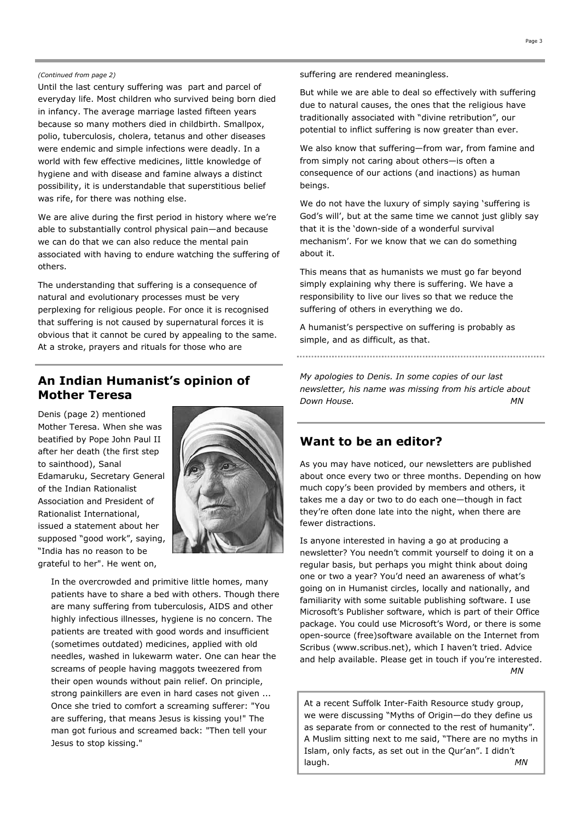#### *(Continued from page 2)*

Until the last century suffering was part and parcel of everyday life. Most children who survived being born died in infancy. The average marriage lasted fifteen years because so many mothers died in childbirth. Smallpox, polio, tuberculosis, cholera, tetanus and other diseases were endemic and simple infections were deadly. In a world with few effective medicines, little knowledge of hygiene and with disease and famine always a distinct possibility, it is understandable that superstitious belief was rife, for there was nothing else.

We are alive during the first period in history where we're able to substantially control physical pain—and because we can do that we can also reduce the mental pain associated with having to endure watching the suffering of others.

The understanding that suffering is a consequence of natural and evolutionary processes must be very perplexing for religious people. For once it is recognised that suffering is not caused by supernatural forces it is obvious that it cannot be cured by appealing to the same. At a stroke, prayers and rituals for those who are

### **An Indian Humanist's opinion of Mother Teresa**

Denis (page 2) mentioned Mother Teresa. When she was beatified by Pope John Paul II after her death (the first step to sainthood), Sanal Edamaruku, Secretary General of the Indian Rationalist Association and President of Rationalist International, issued a statement about her supposed "good work", saying, "India has no reason to be grateful to her". He went on,



In the overcrowded and primitive little homes, many patients have to share a bed with others. Though there are many suffering from tuberculosis, AIDS and other highly infectious illnesses, hygiene is no concern. The patients are treated with good words and insufficient (sometimes outdated) medicines, applied with old needles, washed in lukewarm water. One can hear the screams of people having maggots tweezered from their open wounds without pain relief. On principle, strong painkillers are even in hard cases not given ... Once she tried to comfort a screaming sufferer: "You are suffering, that means Jesus is kissing you!" The man got furious and screamed back: "Then tell your Jesus to stop kissing."

suffering are rendered meaningless.

But while we are able to deal so effectively with suffering due to natural causes, the ones that the religious have traditionally associated with "divine retribution", our potential to inflict suffering is now greater than ever.

We also know that suffering—from war, from famine and from simply not caring about others—is often a consequence of our actions (and inactions) as human beings.

We do not have the luxury of simply saying 'suffering is God's will', but at the same time we cannot just glibly say that it is the 'down-side of a wonderful survival mechanism'. For we know that we can do something about it.

This means that as humanists we must go far beyond simply explaining why there is suffering. We have a responsibility to live our lives so that we reduce the suffering of others in everything we do.

A humanist's perspective on suffering is probably as simple, and as difficult, as that.

*My apologies to Denis. In some copies of our last newsletter, his name was missing from his article about Down House. MN* 

#### **Want to be an editor?**

As you may have noticed, our newsletters are published about once every two or three months. Depending on how much copy's been provided by members and others, it takes me a day or two to do each one—though in fact they're often done late into the night, when there are fewer distractions.

Is anyone interested in having a go at producing a newsletter? You needn't commit yourself to doing it on a regular basis, but perhaps you might think about doing one or two a year? You'd need an awareness of what's going on in Humanist circles, locally and nationally, and familiarity with some suitable publishing software. I use Microsoft's Publisher software, which is part of their Office package. You could use Microsoft's Word, or there is some open-source (free)software available on the Internet from Scribus (www.scribus.net), which I haven't tried. Advice and help available. Please get in touch if you're interested. *MN*

At a recent Suffolk Inter-Faith Resource study group, we were discussing "Myths of Origin—do they define us as separate from or connected to the rest of humanity". A Muslim sitting next to me said, "There are no myths in Islam, only facts, as set out in the Qur'an". I didn't laugh. *MN*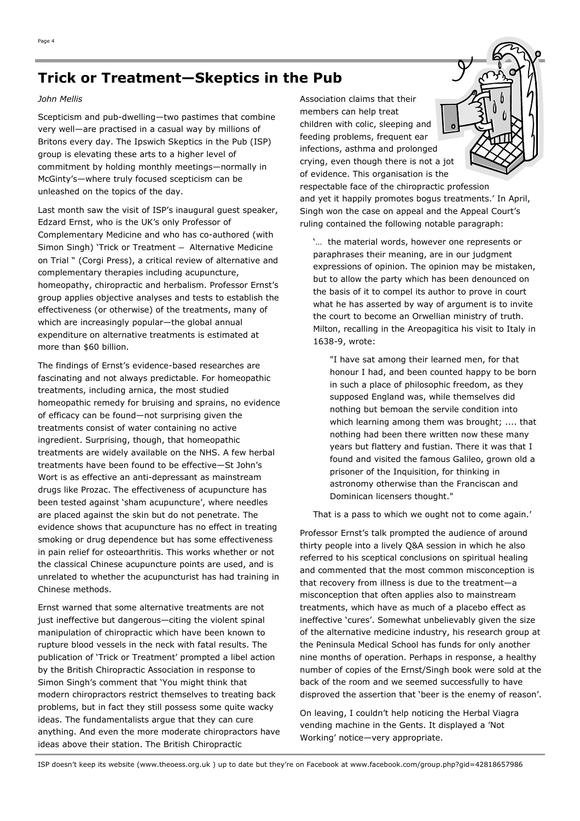## **Trick or Treatment—Skeptics in the Pub**

#### *John Mellis*

Scepticism and pub-dwelling—two pastimes that combine very well—are practised in a casual way by millions of Britons every day. The Ipswich Skeptics in the Pub (ISP) group is elevating these arts to a higher level of commitment by holding monthly meetings—normally in McGinty's—where truly focused scepticism can be unleashed on the topics of the day.

Last month saw the visit of ISP's inaugural guest speaker, Edzard Ernst, who is the UK's only Professor of Complementary Medicine and who has co-authored (with Simon Singh) 'Trick or Treatment — Alternative Medicine on Trial " (Corgi Press), a critical review of alternative and complementary therapies including acupuncture, homeopathy, chiropractic and herbalism. Professor Ernst's group applies objective analyses and tests to establish the effectiveness (or otherwise) of the treatments, many of which are increasingly popular—the global annual expenditure on alternative treatments is estimated at more than \$60 billion.

The findings of Ernst's evidence-based researches are fascinating and not always predictable. For homeopathic treatments, including arnica, the most studied homeopathic remedy for bruising and sprains, no evidence of efficacy can be found—not surprising given the treatments consist of water containing no active ingredient. Surprising, though, that homeopathic treatments are widely available on the NHS. A few herbal treatments have been found to be effective—St John's Wort is as effective an anti-depressant as mainstream drugs like Prozac. The effectiveness of acupuncture has been tested against 'sham acupuncture', where needles are placed against the skin but do not penetrate. The evidence shows that acupuncture has no effect in treating smoking or drug dependence but has some effectiveness in pain relief for osteoarthritis. This works whether or not the classical Chinese acupuncture points are used, and is unrelated to whether the acupuncturist has had training in Chinese methods.

Ernst warned that some alternative treatments are not just ineffective but dangerous—citing the violent spinal manipulation of chiropractic which have been known to rupture blood vessels in the neck with fatal results. The publication of 'Trick or Treatment' prompted a libel action by the British Chiropractic Association in response to Simon Singh's comment that 'You might think that modern chiropractors restrict themselves to treating back problems, but in fact they still possess some quite wacky ideas. The fundamentalists argue that they can cure anything. And even the more moderate chiropractors have ideas above their station. The British Chiropractic

Association claims that their members can help treat children with colic, sleeping and feeding problems, frequent ear infections, asthma and prolonged crying, even though there is not a jot of evidence. This organisation is the

respectable face of the chiropractic profession and yet it happily promotes bogus treatments.' In April, Singh won the case on appeal and the Appeal Court's ruling contained the following notable paragraph:

'… the material words, however one represents or paraphrases their meaning, are in our judgment expressions of opinion. The opinion may be mistaken, but to allow the party which has been denounced on the basis of it to compel its author to prove in court what he has asserted by way of argument is to invite the court to become an Orwellian ministry of truth. Milton, recalling in the Areopagitica his visit to Italy in 1638-9, wrote:

"I have sat among their learned men, for that honour I had, and been counted happy to be born in such a place of philosophic freedom, as they supposed England was, while themselves did nothing but bemoan the servile condition into which learning among them was brought; .... that nothing had been there written now these many years but flattery and fustian. There it was that I found and visited the famous Galileo, grown old a prisoner of the Inquisition, for thinking in astronomy otherwise than the Franciscan and Dominican licensers thought."

That is a pass to which we ought not to come again.'

Professor Ernst's talk prompted the audience of around thirty people into a lively Q&A session in which he also referred to his sceptical conclusions on spiritual healing and commented that the most common misconception is that recovery from illness is due to the treatment—a misconception that often applies also to mainstream treatments, which have as much of a placebo effect as ineffective 'cures'. Somewhat unbelievably given the size of the alternative medicine industry, his research group at the Peninsula Medical School has funds for only another nine months of operation. Perhaps in response, a healthy number of copies of the Ernst/Singh book were sold at the back of the room and we seemed successfully to have disproved the assertion that 'beer is the enemy of reason'.

On leaving, I couldn't help noticing the Herbal Viagra vending machine in the Gents. It displayed a 'Not Working' notice—very appropriate.

ISP doesn't keep its website (www.theoess.org.uk ) up to date but they're on Facebook at www.facebook.com/group.php?gid=42818657986

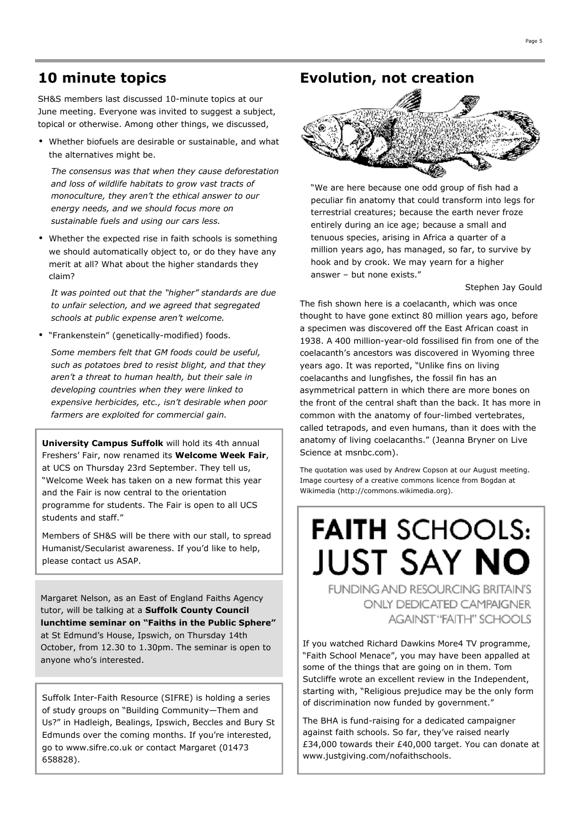SH&S members last discussed 10-minute topics at our June meeting. Everyone was invited to suggest a subject, topical or otherwise. Among other things, we discussed,

• Whether biofuels are desirable or sustainable, and what the alternatives might be.

*The consensus was that when they cause deforestation and loss of wildlife habitats to grow vast tracts of monoculture, they aren't the ethical answer to our energy needs, and we should focus more on sustainable fuels and using our cars less.* 

• Whether the expected rise in faith schools is something we should automatically object to, or do they have any merit at all? What about the higher standards they claim?

*It was pointed out that the "higher" standards are due to unfair selection, and we agreed that segregated schools at public expense aren't welcome.* 

• "Frankenstein" (genetically-modified) foods.

*Some members felt that GM foods could be useful, such as potatoes bred to resist blight, and that they aren't a threat to human health, but their sale in developing countries when they were linked to expensive herbicides, etc., isn't desirable when poor farmers are exploited for commercial gain.* 

**University Campus Suffolk** will hold its 4th annual Freshers' Fair, now renamed its **Welcome Week Fair**, at UCS on Thursday 23rd September. They tell us, "Welcome Week has taken on a new format this year and the Fair is now central to the orientation programme for students. The Fair is open to all UCS students and staff."

Members of SH&S will be there with our stall, to spread Humanist/Secularist awareness. If you'd like to help, please contact us ASAP.

Margaret Nelson, as an East of England Faiths Agency tutor, will be talking at a **Suffolk County Council lunchtime seminar on "Faiths in the Public Sphere"**  at St Edmund's House, Ipswich, on Thursday 14th October, from 12.30 to 1.30pm. The seminar is open to anyone who's interested.

Suffolk Inter-Faith Resource (SIFRE) is holding a series of study groups on "Building Community—Them and Us?" in Hadleigh, Bealings, Ipswich, Beccles and Bury St Edmunds over the coming months. If you're interested, go to www.sifre.co.uk or contact Margaret (01473 658828).

## **10 minute topics Evolution, not creation**



"We are here because one odd group of fish had a peculiar fin anatomy that could transform into legs for terrestrial creatures; because the earth never froze entirely during an ice age; because a small and tenuous species, arising in Africa a quarter of a million years ago, has managed, so far, to survive by hook and by crook. We may yearn for a higher answer – but none exists."

Stephen Jay Gould

The fish shown here is a coelacanth, which was once thought to have gone extinct 80 million years ago, before a specimen was discovered off the East African coast in 1938. A 400 million-year-old fossilised fin from one of the coelacanth's ancestors was discovered in Wyoming three years ago. It was reported, "Unlike fins on living coelacanths and lungfishes, the fossil fin has an asymmetrical pattern in which there are more bones on the front of the central shaft than the back. It has more in common with the anatomy of four-limbed vertebrates, called tetrapods, and even humans, than it does with the anatomy of living coelacanths." (Jeanna Bryner on Live Science at msnbc.com).

The quotation was used by Andrew Copson at our August meeting. Image courtesy of a creative commons licence from Bogdan at Wikimedia (http://commons.wikimedia.org).

# **FAITH SCHOOLS: JUST SAY NO** FUNDING AND RESOURCING BRITAIN'S ONLY DEDICATED CAMPAIGNER

**AGAINST "FAITH" SCHOOLS** 

If you watched Richard Dawkins More4 TV programme, "Faith School Menace", you may have been appalled at some of the things that are going on in them. Tom Sutcliffe wrote an excellent review in the Independent, starting with, "Religious prejudice may be the only form of discrimination now funded by government."

The BHA is fund-raising for a dedicated campaigner against faith schools. So far, they've raised nearly £34,000 towards their £40,000 target. You can donate at www.justgiving.com/nofaithschools.